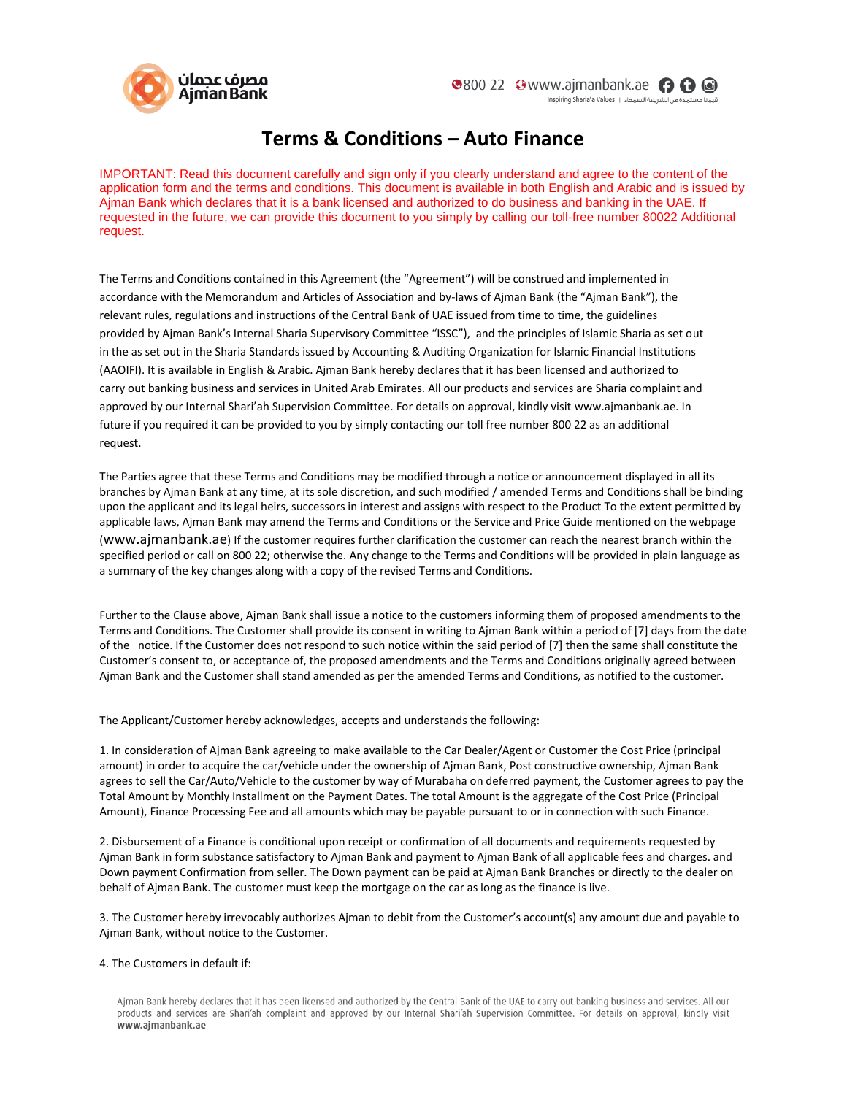

## **Terms & Conditions – Auto Finance**

IMPORTANT: Read this document carefully and sign only if you clearly understand and agree to the content of the application form and the terms and conditions. This document is available in both English and Arabic and is issued by Ajman Bank which declares that it is a bank licensed and authorized to do business and banking in the UAE. If requested in the future, we can provide this document to you simply by calling our toll-free number 80022 Additional request.

The Terms and Conditions contained in this Agreement (the "Agreement") will be construed and implemented in accordance with the Memorandum and Articles of Association and by-laws of Ajman Bank (the "Ajman Bank"), the relevant rules, regulations and instructions of the Central Bank of UAE issued from time to time, the guidelines provided by Ajman Bank's Internal Sharia Supervisory Committee "ISSC"), and the principles of Islamic Sharia as set out in the as set out in the Sharia Standards issued by Accounting & Auditing Organization for Islamic Financial Institutions (AAOIFI). It is available in English & Arabic. Ajman Bank hereby declares that it has been licensed and authorized to carry out banking business and services in United Arab Emirates. All our products and services are Sharia complaint and approved by our Internal Shari'ah Supervision Committee. For details on approval, kindly visit [www.ajmanbank.ae.](http://www.ajmanbank.ae/) In future if you required it can be provided to you by simply contacting our toll free number 800 22 as an additional request.

The Parties agree that these Terms and Conditions may be modified through a notice or announcement displayed in all its branches by Ajman Bank at any time, at its sole discretion, and such modified / amended Terms and Conditions shall be binding upon the applicant and its legal heirs, successors in interest and assigns with respect to the Product To the extent permitted by applicable laws, Ajman Bank may amend the Terms and Conditions or the Service and Price Guide mentioned on the webpage (www.ajmanbank.ae) If the customer requires further clarification the customer can reach the nearest branch within the specified period or call on 800 22; otherwise the. Any change to the Terms and Conditions will be provided in plain language as a summary of the key changes along with a copy of the revised Terms and Conditions.

Further to the Clause above, Ajman Bank shall issue a notice to the customers informing them of proposed amendments to the Terms and Conditions. The Customer shall provide its consent in writing to Ajman Bank within a period of [7] days from the date of the notice. If the Customer does not respond to such notice within the said period of [7] then the same shall constitute the Customer's consent to, or acceptance of, the proposed amendments and the Terms and Conditions originally agreed between Ajman Bank and the Customer shall stand amended as per the amended Terms and Conditions, as notified to the customer.

The Applicant/Customer hereby acknowledges, accepts and understands the following:

1. In consideration of Ajman Bank agreeing to make available to the Car Dealer/Agent or Customer the Cost Price (principal amount) in order to acquire the car/vehicle under the ownership of Ajman Bank, Post constructive ownership, Ajman Bank agrees to sell the Car/Auto/Vehicle to the customer by way of Murabaha on deferred payment, the Customer agrees to pay the Total Amount by Monthly Installment on the Payment Dates. The total Amount is the aggregate of the Cost Price (Principal Amount), Finance Processing Fee and all amounts which may be payable pursuant to or in connection with such Finance.

2. Disbursement of a Finance is conditional upon receipt or confirmation of all documents and requirements requested by Ajman Bank in form substance satisfactory to Ajman Bank and payment to Ajman Bank of all applicable fees and charges. and Down payment Confirmation from seller. The Down payment can be paid at Ajman Bank Branches or directly to the dealer on behalf of Ajman Bank. The customer must keep the mortgage on the car as long as the finance is live.

3. The Customer hereby irrevocably authorizes Ajman to debit from the Customer's account(s) any amount due and payable to Ajman Bank, without notice to the Customer.

## 4. The Customers in default if:

Aiman Bank hereby declares that it has been licensed and authorized by the Central Bank of the UAE to carry out banking business and services. All our products and services are Shari'ah complaint and approved by our Internal Shari'ah Supervision Committee. For details on approval, kindly visit www.ajmanbank.ae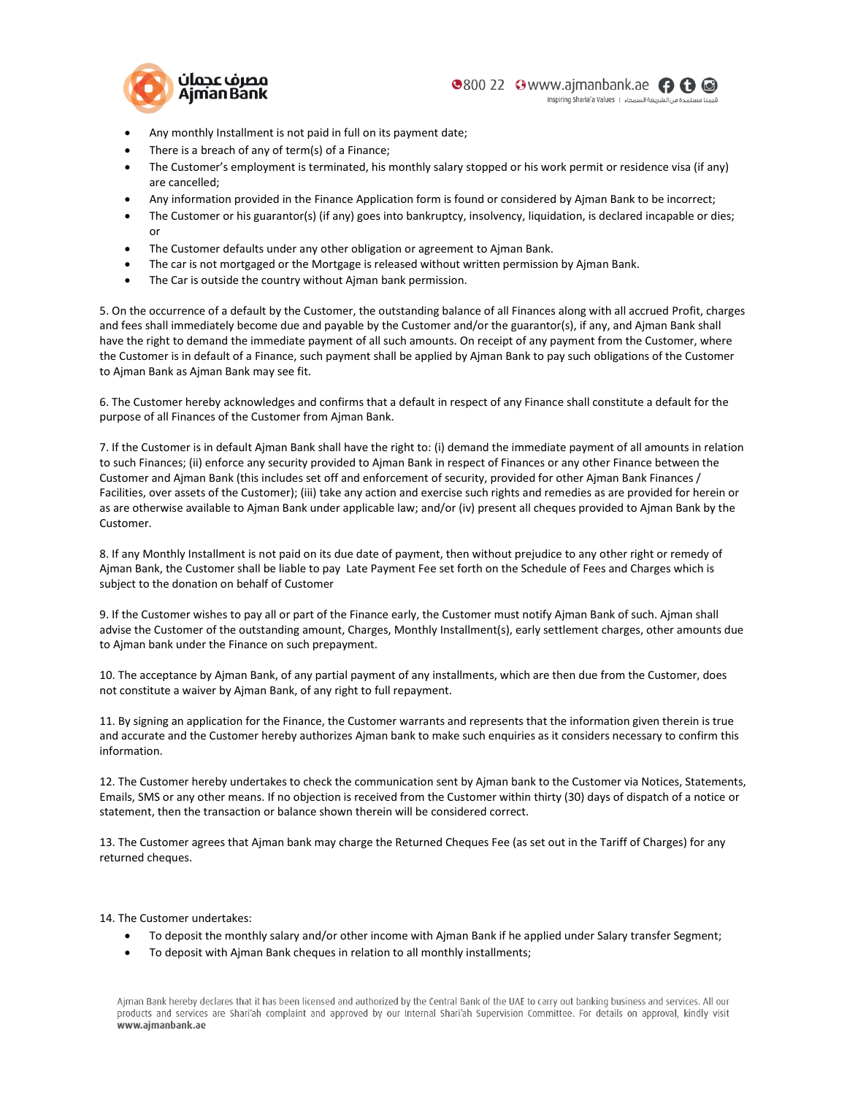

- Any monthly Installment is not paid in full on its payment date;
- There is a breach of any of term(s) of a Finance;
- The Customer's employment is terminated, his monthly salary stopped or his work permit or residence visa (if any) are cancelled;
- Any information provided in the Finance Application form is found or considered by Ajman Bank to be incorrect;
- The Customer or his guarantor(s) (if any) goes into bankruptcy, insolvency, liquidation, is declared incapable or dies; or
- The Customer defaults under any other obligation or agreement to Ajman Bank.
- The car is not mortgaged or the Mortgage is released without written permission by Ajman Bank.
- The Car is outside the country without Aiman bank permission.

5. On the occurrence of a default by the Customer, the outstanding balance of all Finances along with all accrued Profit, charges and fees shall immediately become due and payable by the Customer and/or the guarantor(s), if any, and Ajman Bank shall have the right to demand the immediate payment of all such amounts. On receipt of any payment from the Customer, where the Customer is in default of a Finance, such payment shall be applied by Ajman Bank to pay such obligations of the Customer to Ajman Bank as Ajman Bank may see fit.

6. The Customer hereby acknowledges and confirms that a default in respect of any Finance shall constitute a default for the purpose of all Finances of the Customer from Ajman Bank.

7. If the Customer is in default Ajman Bank shall have the right to: (i) demand the immediate payment of all amounts in relation to such Finances; (ii) enforce any security provided to Ajman Bank in respect of Finances or any other Finance between the Customer and Ajman Bank (this includes set off and enforcement of security, provided for other Ajman Bank Finances / Facilities, over assets of the Customer); (iii) take any action and exercise such rights and remedies as are provided for herein or as are otherwise available to Ajman Bank under applicable law; and/or (iv) present all cheques provided to Ajman Bank by the Customer.

8. If any Monthly Installment is not paid on its due date of payment, then without prejudice to any other right or remedy of Ajman Bank, the Customer shall be liable to pay Late Payment Fee set forth on the Schedule of Fees and Charges which is subject to the donation on behalf of Customer

9. If the Customer wishes to pay all or part of the Finance early, the Customer must notify Ajman Bank of such. Ajman shall advise the Customer of the outstanding amount, Charges, Monthly Installment(s), early settlement charges, other amounts due to Ajman bank under the Finance on such prepayment.

10. The acceptance by Ajman Bank, of any partial payment of any installments, which are then due from the Customer, does not constitute a waiver by Ajman Bank, of any right to full repayment.

11. By signing an application for the Finance, the Customer warrants and represents that the information given therein is true and accurate and the Customer hereby authorizes Ajman bank to make such enquiries as it considers necessary to confirm this information.

12. The Customer hereby undertakes to check the communication sent by Ajman bank to the Customer via Notices, Statements, Emails, SMS or any other means. If no objection is received from the Customer within thirty (30) days of dispatch of a notice or statement, then the transaction or balance shown therein will be considered correct.

13. The Customer agrees that Ajman bank may charge the Returned Cheques Fee (as set out in the Tariff of Charges) for any returned cheques.

14. The Customer undertakes:

- To deposit the monthly salary and/or other income with Ajman Bank if he applied under Salary transfer Segment;
- To deposit with Ajman Bank cheques in relation to all monthly installments;

Aiman Bank hereby declares that it has been licensed and authorized by the Central Bank of the UAE to carry out banking business and services. All our products and services are Shari'ah complaint and approved by our Internal Shari'ah Supervision Committee. For details on approval, kindly visit www.ajmanbank.ae